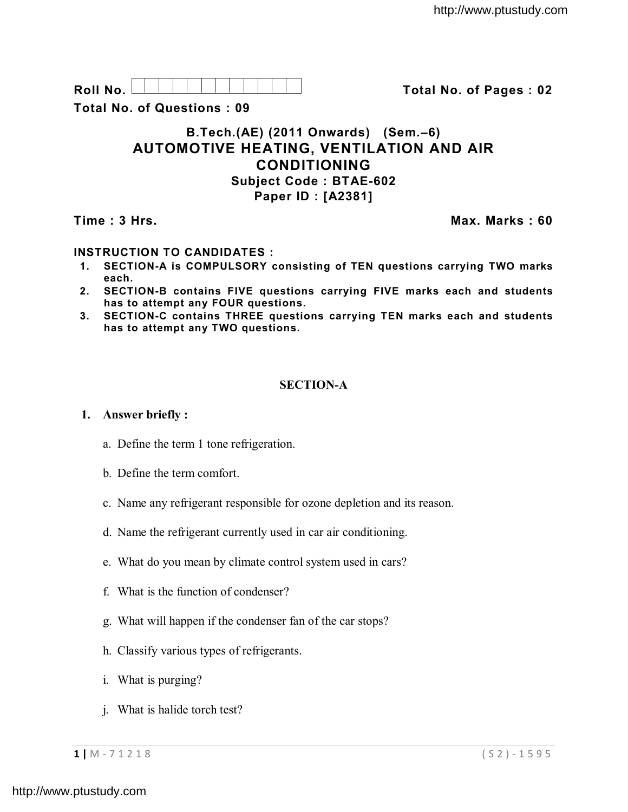| $\mathbf{R}$ |  |  |  |  |  |  |  |
|--------------|--|--|--|--|--|--|--|
|              |  |  |  |  |  |  |  |
|              |  |  |  |  |  |  |  |
|              |  |  |  |  |  |  |  |
|              |  |  |  |  |  |  |  |

**Roll No. Total No. of Pages : 02**

**Total No. of Questions : 09**

# **B.Tech.(AE) (2011 Onwards) (Sem.–6) AUTOMOTIVE HEATING, VENTILATION AND AIR CONDITIONING Subject Code : BTAE-602 Paper ID : [A2381]**

**Time : 3 Hrs. Max. Marks : 60**

# **INSTRUCTION TO CANDIDATES :**

- **1. SECTION-A is COMPULSORY consisting of TEN questions carrying TWO marks each.**
- **2. SECTION-B contains FIVE questions carrying FIVE marks each and students has to attempt any FOUR questions.**
- **3. SECTION-C contains THREE questions carrying TEN marks each and students has to attempt any TWO questions.**

## **SECTION-A**

## **1. Answer briefly :**

- a. Define the term 1 tone refrigeration.
- b. Define the term comfort.
- c. Name any refrigerant responsible for ozone depletion and its reason.
- d. Name the refrigerant currently used in car air conditioning.
- e. What do you mean by climate control system used in cars?
- f. What is the function of condenser?
- g. What will happen if the condenser fan of the car stops?
- h. Classify various types of refrigerants.
- i. What is purging?
- j. What is halide torch test?